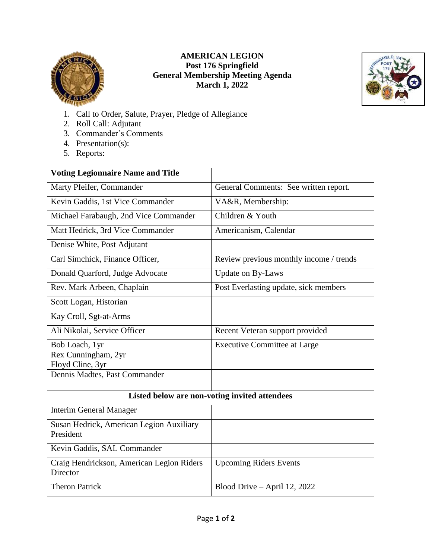

## **AMERICAN LEGION Post 176 Springfield General Membership Meeting Agenda March 1, 2022**



- 1. Call to Order, Salute, Prayer, Pledge of Allegiance
- 2. Roll Call: Adjutant
- 3. Commander's Comments
- 4. Presentation(s):
- 5. Reports:

| <b>Voting Legionnaire Name and Title</b>              |                                         |
|-------------------------------------------------------|-----------------------------------------|
| Marty Pfeifer, Commander                              | General Comments: See written report.   |
| Kevin Gaddis, 1st Vice Commander                      | VA&R, Membership:                       |
| Michael Farabaugh, 2nd Vice Commander                 | Children & Youth                        |
| Matt Hedrick, 3rd Vice Commander                      | Americanism, Calendar                   |
| Denise White, Post Adjutant                           |                                         |
| Carl Simchick, Finance Officer,                       | Review previous monthly income / trends |
| Donald Quarford, Judge Advocate                       | <b>Update on By-Laws</b>                |
| Rev. Mark Arbeen, Chaplain                            | Post Everlasting update, sick members   |
| Scott Logan, Historian                                |                                         |
| Kay Croll, Sgt-at-Arms                                |                                         |
| Ali Nikolai, Service Officer                          | Recent Veteran support provided         |
| Bob Loach, 1yr                                        | <b>Executive Committee at Large</b>     |
| Rex Cunningham, 2yr                                   |                                         |
| Floyd Cline, 3yr                                      |                                         |
| Dennis Madtes, Past Commander                         |                                         |
| Listed below are non-voting invited attendees         |                                         |
| <b>Interim General Manager</b>                        |                                         |
| Susan Hedrick, American Legion Auxiliary<br>President |                                         |
| Kevin Gaddis, SAL Commander                           |                                         |
| Craig Hendrickson, American Legion Riders<br>Director | <b>Upcoming Riders Events</b>           |
| <b>Theron Patrick</b>                                 | Blood Drive - April 12, 2022            |